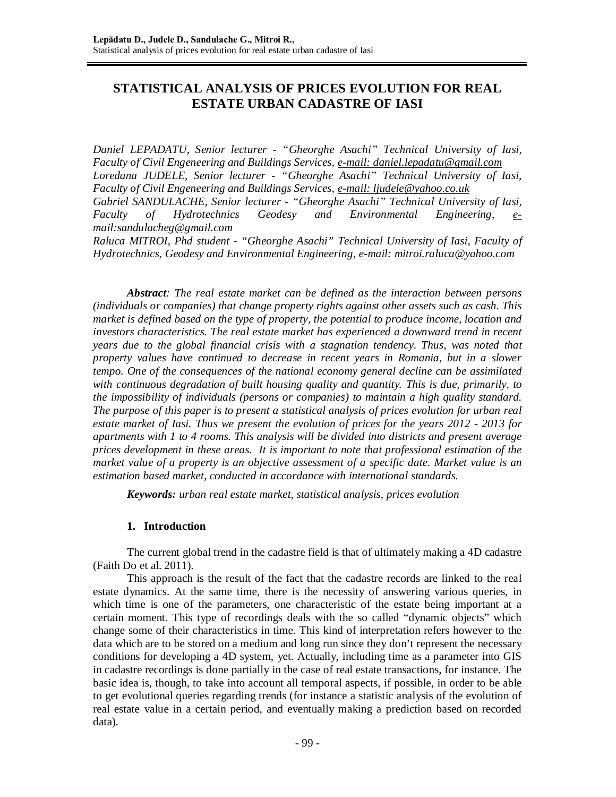# **STATISTICAL ANALYSIS OF PRICES EVOLUTION FOR REAL ESTATE URBAN CADASTRE OF IASI**

*Daniel LEPADATU, Senior lecturer - "Gheorghe Asachi" Technical University of Iasi, Faculty of Civil Engeneering and Buildings Services, e-mail: [daniel.lepadatu@gmail.com](mailto:daniel.lepadatu@gmail.com) Loredana JUDELE, Senior lecturer - "Gheorghe Asachi" Technical University of Iasi, Faculty of Civil Engeneering and Buildings Services, e-mail: [ljudele@yahoo.co.uk](mailto:ljudele@yahoo.co.uk)  Gabriel SANDULACHE, Senior lecturer - "Gheorghe Asachi" Technical University of Iasi, Faculty of Hydrotechnics Geodesy and Environmental Engineering, e[mail:sandulacheg@gmail.com](mailto:mail:sandulacheg@gmail.com)*

*Raluca MITROI, Phd student - "Gheorghe Asachi" Technical University of Iasi, Faculty of Hydrotechnics, Geodesy and Environmental Engineering, e-mail: [mitroi.raluca@yahoo.com](mailto:mitroi.raluca@yahoo.com)*

*Abstract: The real estate market can be defined as the interaction between persons (individuals or companies) that change property rights against other assets such as cash. This market is defined based on the type of property, the potential to produce income, location and investors characteristics. The real estate market has experienced a downward trend in recent years due to the global financial crisis with a stagnation tendency. Thus, was noted that property values have continued to decrease in recent years in Romania, but in a slower tempo. One of the consequences of the national economy general decline can be assimilated with continuous degradation of built housing quality and quantity. This is due, primarily, to the impossibility of individuals (persons or companies) to maintain a high quality standard. The purpose of this paper is to present a statistical analysis of prices evolution for urban real estate market of Iasi. Thus we present the evolution of prices for the years 2012 - 2013 for apartments with 1 to 4 rooms. This analysis will be divided into districts and present average prices development in these areas. It is important to note that professional estimation of the market value of a property is an objective assessment of a specific date. Market value is an estimation based market, conducted in accordance with international standards.*

*Keywords: urban real estate market, statistical analysis, prices evolution*

# **1. Introduction**

The current global trend in the cadastre field is that of ultimately making a 4D cadastre (Faith Do et al. 2011).

This approach is the result of the fact that the cadastre records are linked to the real estate dynamics. At the same time, there is the necessity of answering various queries, in which time is one of the parameters, one characteristic of the estate being important at a certain moment. This type of recordings deals with the so called "dynamic objects" which change some of their characteristics in time. This kind of interpretation refers however to the data which are to be stored on a medium and long run since they don't represent the necessary conditions for developing a 4D system, yet. Actually, including time as a parameter into GIS in cadastre recordings is done partially in the case of real estate transactions, for instance. The basic idea is, though, to take into account all temporal aspects, if possible, in order to be able to get evolutional queries regarding trends (for instance a statistic analysis of the evolution of real estate value in a certain period, and eventually making a prediction based on recorded data).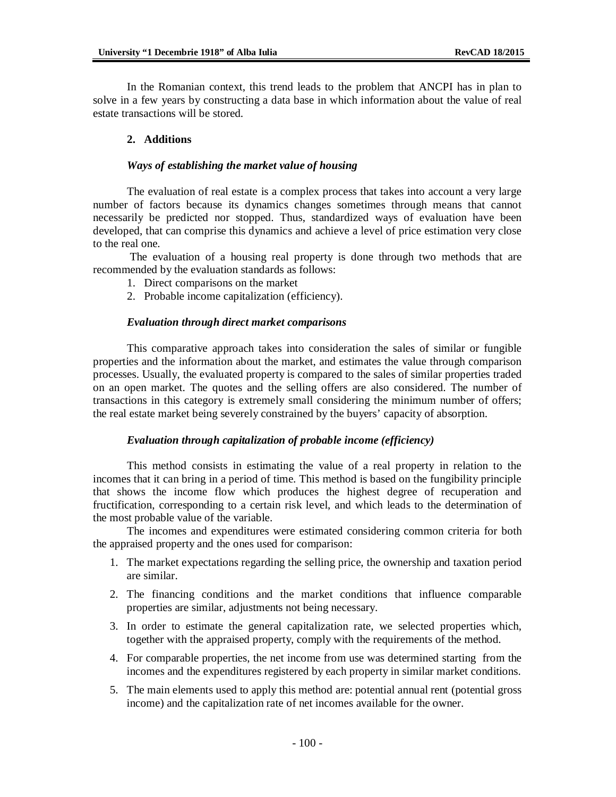In the Romanian context, this trend leads to the problem that ANCPI has in plan to solve in a few years by constructing a data base in which information about the value of real estate transactions will be stored.

# **2. Additions**

# *Ways of establishing the market value of housing*

The evaluation of real estate is a complex process that takes into account a very large number of factors because its dynamics changes sometimes through means that cannot necessarily be predicted nor stopped. Thus, standardized ways of evaluation have been developed, that can comprise this dynamics and achieve a level of price estimation very close to the real one.

The evaluation of a housing real property is done through two methods that are recommended by the evaluation standards as follows:

- 1. Direct comparisons on the market
- 2. Probable income capitalization (efficiency).

#### *Evaluation through direct market comparisons*

This comparative approach takes into consideration the sales of similar or fungible properties and the information about the market, and estimates the value through comparison processes. Usually, the evaluated property is compared to the sales of similar properties traded on an open market. The quotes and the selling offers are also considered. The number of transactions in this category is extremely small considering the minimum number of offers; the real estate market being severely constrained by the buyers' capacity of absorption.

### *Evaluation through capitalization of probable income (efficiency)*

This method consists in estimating the value of a real property in relation to the incomes that it can bring in a period of time. This method is based on the fungibility principle that shows the income flow which produces the highest degree of recuperation and fructification, corresponding to a certain risk level, and which leads to the determination of the most probable value of the variable.

The incomes and expenditures were estimated considering common criteria for both the appraised property and the ones used for comparison:

- 1. The market expectations regarding the selling price, the ownership and taxation period are similar.
- 2. The financing conditions and the market conditions that influence comparable properties are similar, adjustments not being necessary.
- 3. In order to estimate the general capitalization rate, we selected properties which, together with the appraised property, comply with the requirements of the method.
- 4. For comparable properties, the net income from use was determined starting from the incomes and the expenditures registered by each property in similar market conditions.
- 5. The main elements used to apply this method are: potential annual rent (potential gross income) and the capitalization rate of net incomes available for the owner.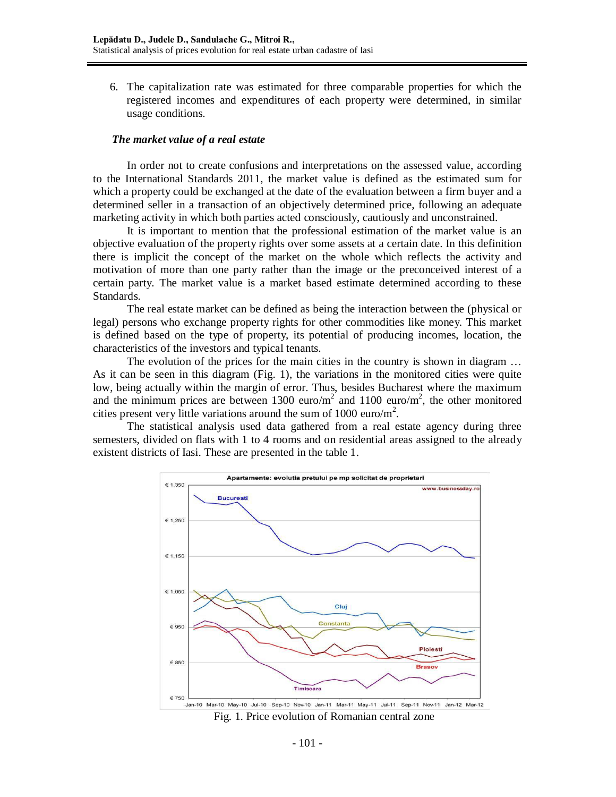6. The capitalization rate was estimated for three comparable properties for which the registered incomes and expenditures of each property were determined, in similar usage conditions.

# *The market value of a real estate*

In order not to create confusions and interpretations on the assessed value, according to the International Standards 2011, the market value is defined as the estimated sum for which a property could be exchanged at the date of the evaluation between a firm buyer and a determined seller in a transaction of an objectively determined price, following an adequate marketing activity in which both parties acted consciously, cautiously and unconstrained.

It is important to mention that the professional estimation of the market value is an objective evaluation of the property rights over some assets at a certain date. In this definition there is implicit the concept of the market on the whole which reflects the activity and motivation of more than one party rather than the image or the preconceived interest of a certain party. The market value is a market based estimate determined according to these Standards.

The real estate market can be defined as being the interaction between the (physical or legal) persons who exchange property rights for other commodities like money. This market is defined based on the type of property, its potential of producing incomes, location, the characteristics of the investors and typical tenants.

The evolution of the prices for the main cities in the country is shown in diagram ... As it can be seen in this diagram (Fig. 1), the variations in the monitored cities were quite low, being actually within the margin of error. Thus, besides Bucharest where the maximum and the minimum prices are between 1300 euro/ $m^2$  and 1100 euro/ $m^2$ , the other monitored cities present very little variations around the sum of 1000 euro/ $m^2$ .

The statistical analysis used data gathered from a real estate agency during three semesters, divided on flats with 1 to 4 rooms and on residential areas assigned to the already existent districts of Iasi. These are presented in the table 1.

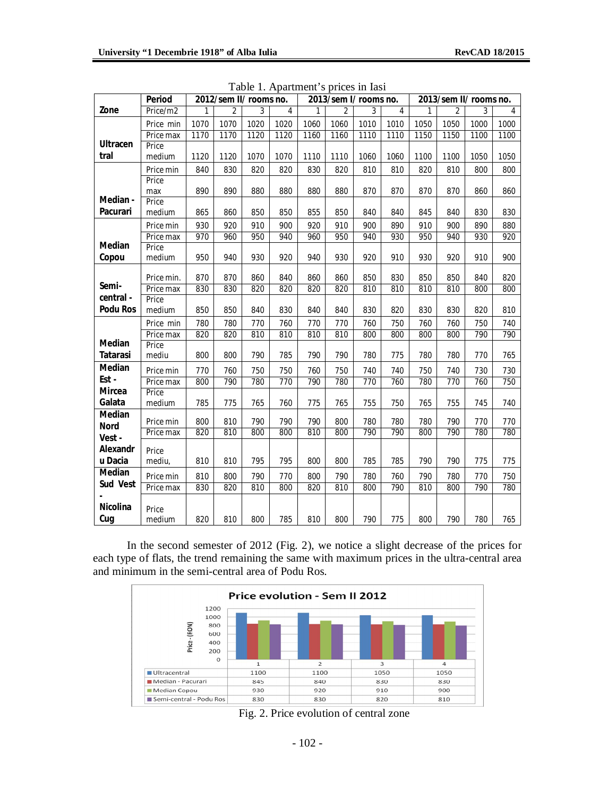|                 | <b>Period</b>          | 2012/sem II/ rooms no. |                |            |            | 2013/sem I/ rooms no. |            |            |            | 2013/sem II/ rooms no. |                |            |                |
|-----------------|------------------------|------------------------|----------------|------------|------------|-----------------------|------------|------------|------------|------------------------|----------------|------------|----------------|
| Zone            | Price/m2               |                        | $\overline{2}$ | 3          | 4          |                       | 2          | 3          | 4          |                        | $\overline{2}$ | 3          | $\overline{4}$ |
|                 | Price min              | 1070                   | 1070           | 1020       | 1020       | 1060                  | 1060       | 1010       | 1010       | 1050                   | 1050           | 1000       | 1000           |
|                 | Price max              | 1170                   | 1170           | 1120       | 1120       | 1160                  | 1160       | 1110       | 1110       | 1150                   | 1150           | 1100       | 1100           |
| <b>Ultracen</b> | Price                  |                        |                |            |            |                       |            |            |            |                        |                |            |                |
| tral            | medium                 | 1120                   | 1120           | 1070       | 1070       | 1110                  | 1110       | 1060       | 1060       | 1100                   | 1100           | 1050       | 1050           |
|                 | Price min              | 840                    | 830            | 820        | 820        | 830                   | 820        | 810        | 810        | 820                    | 810            | 800        | 800            |
|                 | Price                  |                        |                |            |            |                       |            |            |            |                        |                |            |                |
|                 | max                    | 890                    | 890            | 880        | 880        | 880                   | 880        | 870        | 870        | 870                    | 870            | 860        | 860            |
| Median -        | Price                  |                        |                |            |            |                       |            |            |            |                        |                |            |                |
| <b>Pacurari</b> | medium                 | 865                    | 860            | 850        | 850        | 855                   | 850        | 840        | 840        | 845                    | 840            | 830        | 830            |
|                 | Price min              | 930                    | 920            | 910        | 900        | 920                   | 910        | 900        | 890        | 910                    | 900            | 890        | 880            |
|                 | Price max              | 970                    | 960            | 950        | 940        | 960                   | 950        | 940        | 930        | 950                    | 940            | 930        | 920            |
| <b>Median</b>   | Price                  |                        |                |            |            |                       |            |            |            |                        |                |            |                |
| Copou           | medium                 | 950                    | 940            | 930        | 920        | 940                   | 930        | 920        | 910        | 930                    | 920            | 910        | 900            |
|                 | Price min.             | 870                    | 870            | 860        | 840        | 860                   | 860        | 850        | 830        | 850                    | 850            | 840        | 820            |
| Semi-           | Price max              | 830                    | 830            | 820        | 820        | 820                   | 820        | 810        | 810        | 810                    | 810            | 800        | 800            |
| central -       | Price                  |                        |                |            |            |                       |            |            |            |                        |                |            |                |
| <b>Podu Ros</b> | medium                 | 850                    | 850            | 840        | 830        | 840                   | 840        | 830        | 820        | 830                    | 830            | 820        | 810            |
|                 | Price min              | 780                    | 780            | 770        | 760        | 770                   | 770        | 760        | 750        | 760                    | 760            | 750        | 740            |
|                 | Price max              | 820                    | 820            | 810        | 810        | 810                   | 810        | 800        | 800        | 800                    | 800            | 790        | 790            |
| Median          | Price                  |                        |                |            |            |                       |            |            |            |                        |                |            |                |
| <b>Tatarasi</b> | mediu                  | 800                    | 800            | 790        | 785        | 790                   | 790        | 780        | 775        | 780                    | 780            | 770        | 765            |
| Median          | Price min              | 770                    | 760            | 750        | 750        | 760                   | 750        | 740        | 740        | 750                    | 740            | 730        | 730            |
| Est-            | Price max              | 800                    | 790            | 780        | 770        | 790                   | 780        | 770        | 760        | 780                    | 770            | 760        | 750            |
| <b>Mircea</b>   | Price                  |                        |                |            |            |                       |            |            |            |                        |                |            |                |
| Galata          | medium                 | 785                    | 775            | 765        | 760        | 775                   | 765        | 755        | 750        | 765                    | 755            | 745        | 740            |
| Median          |                        |                        |                |            |            |                       |            |            |            |                        |                |            |                |
| <b>Nord</b>     | Price min<br>Price max | 800<br>820             | 810<br>810     | 790<br>800 | 790<br>800 | 790<br>810            | 800<br>800 | 780<br>790 | 780<br>790 | 780<br>800             | 790<br>790     | 770<br>780 | 770<br>780     |
| Vest-           |                        |                        |                |            |            |                       |            |            |            |                        |                |            |                |
| Alexandr        | Price                  |                        |                |            |            |                       |            |            |            |                        |                |            |                |
| u Dacia         | mediu,                 | 810                    | 810            | 795        | 795        | 800                   | 800        | 785        | 785        | 790                    | 790            | 775        | 775            |
| Median          | Price min              | 810                    | 800            | 790        | 770        | 800                   | 790        | 780        | 760        | 790                    | 780            | 770        | 750            |
| Sud Vest        | Price max              | 830                    | 820            | 810        | 800        | 820                   | 810        | 800        | 790        | 810                    | 800            | 790        | 780            |
|                 |                        |                        |                |            |            |                       |            |            |            |                        |                |            |                |
| <b>Nicolina</b> | Price                  |                        |                |            |            |                       |            |            |            |                        |                |            |                |
| Cug             | medium                 | 820                    | 810            | 800        | 785        | 810                   | 800        | 790        | 775        | 800                    | 790            | 780        | 765            |

Table 1. Apartment's prices in Iasi

In the second semester of 2012 (Fig. 2), we notice a slight decrease of the prices for each type of flats, the trend remaining the same with maximum prices in the ultra-central area and minimum in the semi-central area of Podu Ros.



Fig. 2. Price evolution of central zone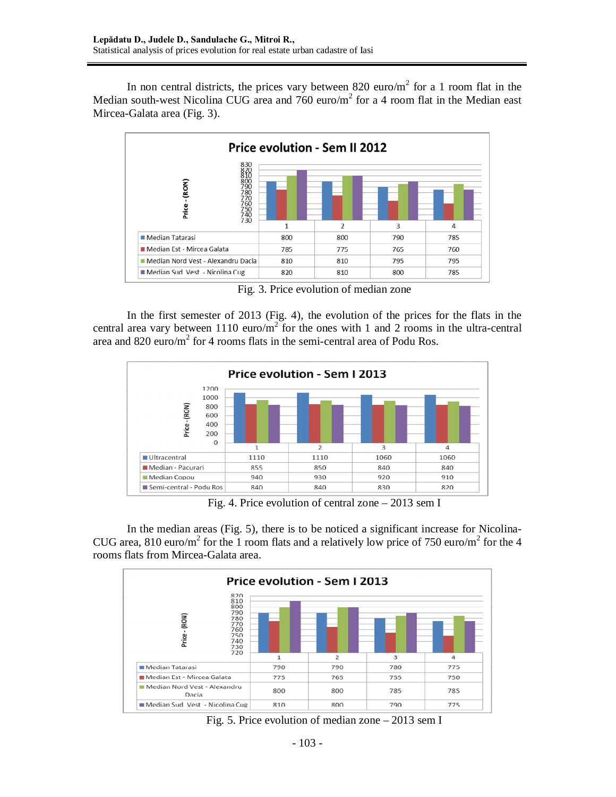In non central districts, the prices vary between 820 euro/ $m<sup>2</sup>$  for a 1 room flat in the Median south-west Nicolina CUG area and  $760 \text{ euro/m}^2$  for a 4 room flat in the Median east Mircea-Galata area (Fig. 3).



Fig. 3. Price evolution of median zone

In the first semester of 2013 (Fig. 4), the evolution of the prices for the flats in the central area vary between 1110 euro/ $m^2$  for the ones with 1 and 2 rooms in the ultra-central area and 820 euro/ $m^2$  for 4 rooms flats in the semi-central area of Podu Ros.



Fig. 4. Price evolution of central zone – 2013 sem I

In the median areas (Fig. 5), there is to be noticed a significant increase for Nicolina-CUG area, 810 euro/m<sup>2</sup> for the 1 room flats and a relatively low price of 750 euro/m<sup>2</sup> for the 4 rooms flats from Mircea-Galata area.



Fig. 5. Price evolution of median zone – 2013 sem I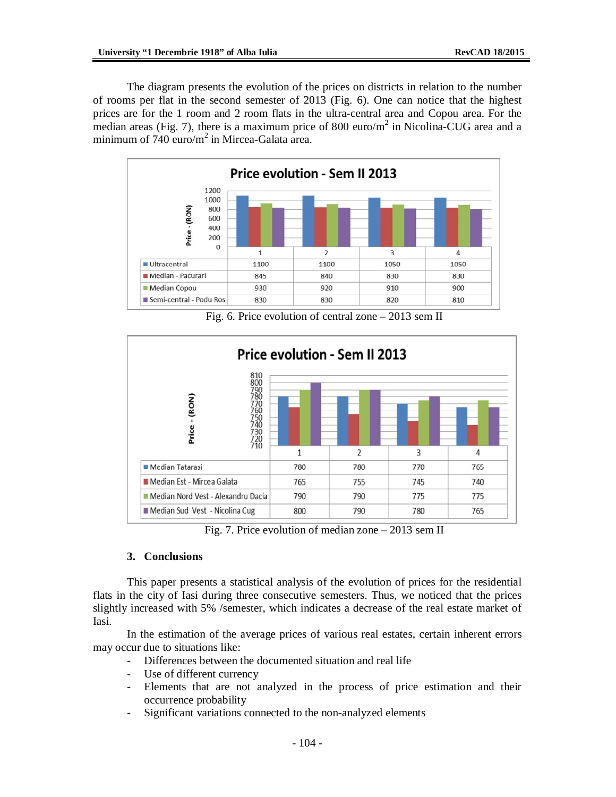The diagram presents the evolution of the prices on districts in relation to the number of rooms per flat in the second semester of 2013 (Fig. 6). One can notice that the highest prices are for the 1 room and 2 room flats in the ultra-central area and Copou area. For the median areas (Fig. 7), there is a maximum price of 800 euro/ $m^2$  in Nicolina-CUG area and a minimum of 740 euro/m<sup>2</sup> in Mircea-Galata area.



Fig. 6. Price evolution of central zone – 2013 sem II



Fig. 7. Price evolution of median zone – 2013 sem II

### **3. Conclusions**

This paper presents a statistical analysis of the evolution of prices for the residential flats in the city of Iasi during three consecutive semesters. Thus, we noticed that the prices slightly increased with 5% /semester, which indicates a decrease of the real estate market of Iasi.

In the estimation of the average prices of various real estates, certain inherent errors may occur due to situations like:

- Differences between the documented situation and real life
	- Use of different currency
	- Elements that are not analyzed in the process of price estimation and their occurrence probability
	- Significant variations connected to the non-analyzed elements